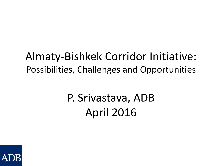### Almaty-Bishkek Corridor Initiative: Possibilities, Challenges and Opportunities

# P. Srivastava, ADB April 2016

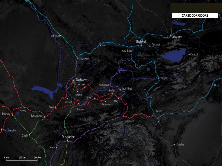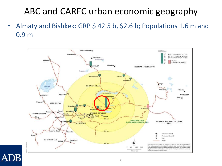### ABC and CAREC urban economic geography

• Almaty and Bishkek: GRP \$ 42.5 b, \$2.6 b; Populations 1.6 m and 0.9 m



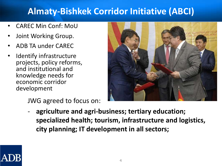#### **Almaty-Bishkek Corridor Initiative (ABCI)**

- CAREC Min Conf: MoU
- Joint Working Group.
- ADB TA under CAREC
- Identify infrastructure projects, policy reforms, and institutional and knowledge needs for economic corridor development

JWG agreed to focus on:



- **agriculture and agri-business; tertiary education; specialized health; tourism, infrastructure and logistics, city planning; IT development in all sectors;** 

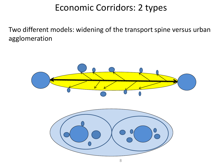#### Economic Corridors: 2 types

Two different models: widening of the transport spine versus urban agglomeration

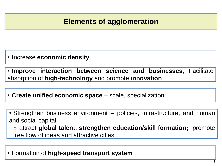#### **Elements of agglomeration**

• Increase **economic density**

• **Improve interaction between science and businesses**; Facilitate absorption of **high-technology** and promote **innovation**

• **Create unified economic space** – scale, specialization

• Strengthen business environment – policies, infrastructure, and human and social capital o attract **global talent, strengthen education/skill formation;** promote free flow of ideas and attractive cities

• Formation of **high-speed transport system**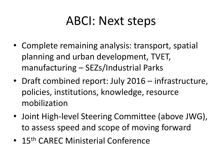## ABCI: Next steps

- Complete remaining analysis: transport, spatial planning and urban development, TVET, manufacturing – SEZs/Industrial Parks
- Draft combined report: July 2016 infrastructure, policies, institutions, knowledge, resource mobilization
- Joint High-level Steering Committee (above JWG), to assess speed and scope of moving forward
- 15<sup>th</sup> CAREC Ministerial Conference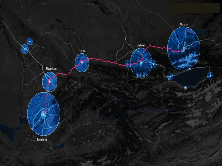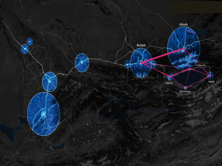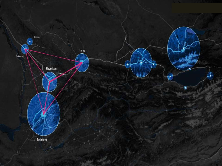